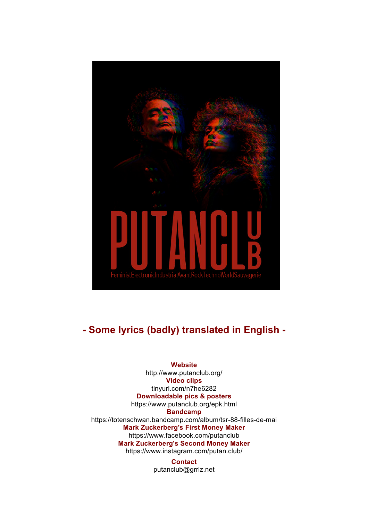

# **- Some lyrics (badly) translated in English -**

**Website** http://www.putanclub.org/ **Video clips** tinyurl.com/n7he6282 **Downloadable pics & posters** https://www.putanclub.org/epk.html **Bandcamp**  https://totenschwan.bandcamp.com/album/tsr-88-filles-de-mai **Mark Zuckerberg's First Money Maker**  https://www.facebook.com/putanclub **Mark Zuckerberg's Second Money Maker**  https://www.instagram.com/putan.club/

> **Contact** putanclub@grrlz.net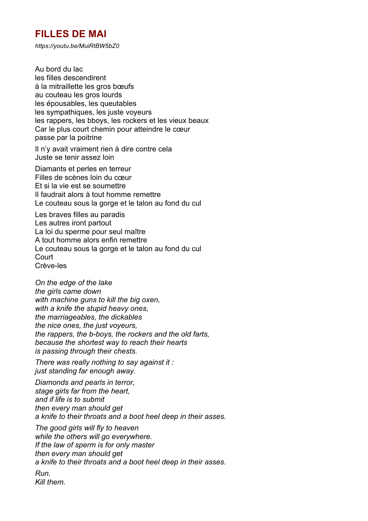### **FILLES DE MAI**

*https://youtu.be/MuiRtBW5bZ0*

Au bord du lac les filles descendirent à la mitraillette les gros bœufs au couteau les gros lourds les épousables, les queutables les sympathiques, les juste voyeurs les rappers, les bboys, les rockers et les vieux beaux Car le plus court chemin pour atteindre le cœur passe par la poitrine

Il n'y avait vraiment rien à dire contre cela Juste se tenir assez loin

Diamants et perles en terreur Filles de scènes loin du cœur Et si la vie est se soumettre Il faudrait alors à tout homme remettre Le couteau sous la gorge et le talon au fond du cul

Les braves filles au paradis Les autres iront partout La loi du sperme pour seul maître A tout homme alors enfin remettre Le couteau sous la gorge et le talon au fond du cul Court Crève-les

*On the edge of the lake the girls came down with machine guns to kill the big oxen, with a knife the stupid heavy ones, the marriageables, the dickables the nice ones, the just voyeurs, the rappers, the b-boys, the rockers and the old farts, because the shortest way to reach their hearts is passing through their chests.*

*There was really nothing to say against it : just standing far enough away.*

*Diamonds and pearls in terror, stage girls far from the heart, and if life is to submit then every man should get a knife to their throats and a boot heel deep in their asses.*

*The good girls will fly to heaven while the others will go everywhere. If the law of sperm is for only master then every man should get a knife to their throats and a boot heel deep in their asses.*

*Run. Kill them.*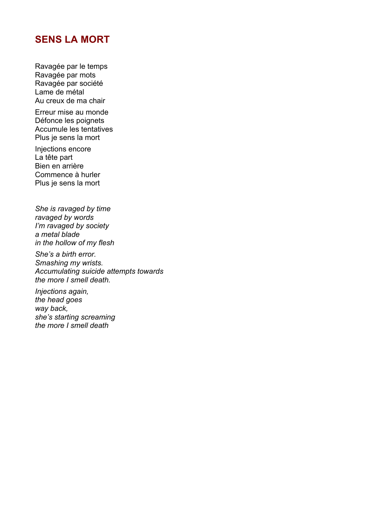#### **SENS LA MORT**

Ravagée par le temps Ravagée par mots Ravagée par société Lame de métal Au creux de ma chair

Erreur mise au monde Défonce les poignets Accumule les tentatives Plus je sens la mort

Injections encore La tête part Bien en arrière Commence à hurler Plus je sens la mort

*She is ravaged by time ravaged by words I'm ravaged by society a metal blade in the hollow of my flesh*

*She's a birth error. Smashing my wrists. Accumulating suicide attempts towards the more I smell death.*

*Injections again, the head goes way back, she's starting screaming the more I smell death*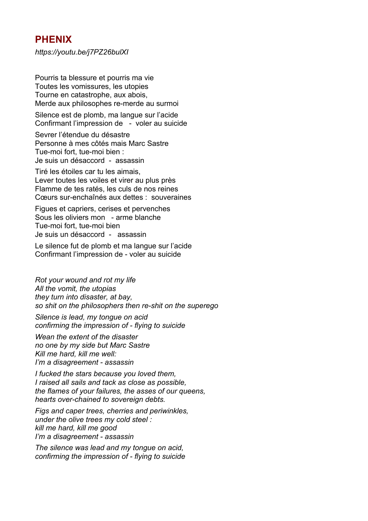#### **PHENIX**

*https://youtu.be/j7PZ26bulXI*

Pourris ta blessure et pourris ma vie Toutes les vomissures, les utopies Tourne en catastrophe, aux abois, Merde aux philosophes re-merde au surmoi

Silence est de plomb, ma langue sur l'acide Confirmant l'impression de - voler au suicide

Sevrer l'étendue du désastre Personne à mes côtés mais Marc Sastre Tue-moi fort, tue-moi bien : Je suis un désaccord - assassin

Tiré les étoiles car tu les aimais, Lever toutes les voiles et virer au plus près Flamme de tes ratés, les culs de nos reines Cœurs sur-enchaînés aux dettes : souveraines

Figues et capriers, cerises et pervenches Sous les oliviers mon - arme blanche Tue-moi fort, tue-moi bien Je suis un désaccord - assassin

Le silence fut de plomb et ma langue sur l'acide Confirmant l'impression de - voler au suicide

*Rot your wound and rot my life All the vomit, the utopias they turn into disaster, at bay, so shit on the philosophers then re-shit on the superego*

*Silence is lead, my tongue on acid confirming the impression of - flying to suicide*

*Wean the extent of the disaster no one by my side but Marc Sastre Kill me hard, kill me well: I'm a disagreement - assassin*

*I fucked the stars because you loved them, I raised all sails and tack as close as possible, the flames of your failures, the asses of our queens, hearts over-chained to sovereign debts.*

*Figs and caper trees, cherries and periwinkles, under the olive trees my cold steel : kill me hard, kill me good I'm a disagreement - assassin*

*The silence was lead and my tongue on acid, confirming the impression of - flying to suicide*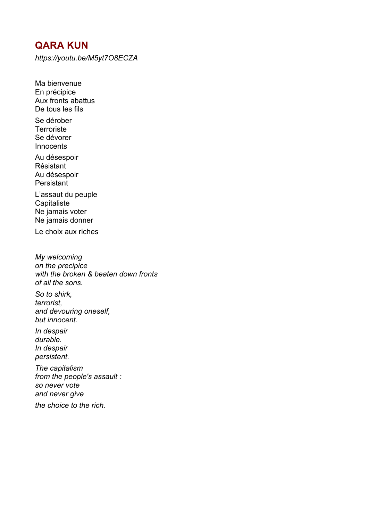### **QARA KUN**

Ma bienvenue

*https://youtu.be/M5yt7O8ECZA*

En précipice Aux fronts abattus De tous les fils Se dérober **Terroriste** Se dévorer **Innocents** Au désespoir Résistant Au désespoir **Persistant** L'assaut du peuple **Capitaliste** Ne jamais voter Ne jamais donner Le choix aux riches *My welcoming on the precipice with the broken & beaten down fronts of all the sons. So to shirk, terrorist, and devouring oneself, but innocent. In despair durable. In despair persistent. The capitalism from the people's assault : so never vote and never give*

*the choice to the rich.*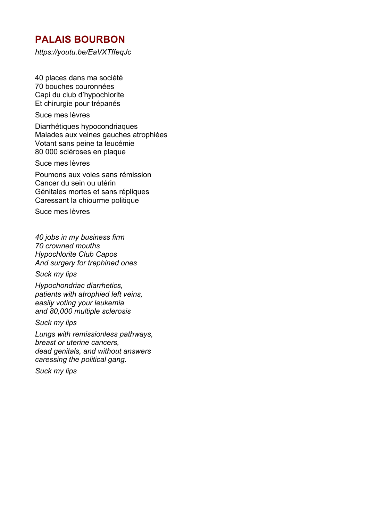## **PALAIS BOURBON**

*https://youtu.be/EaVXTffeqJc*

40 places dans ma société 70 bouches couronnées Capi du club d'hypochlorite Et chirurgie pour trépanés

Suce mes lèvres

Diarrhétiques hypocondriaques Malades aux veines gauches atrophiées Votant sans peine ta leucémie 80 000 scléroses en plaque

Suce mes lèvres

Poumons aux voies sans rémission Cancer du sein ou utérin Génitales mortes et sans répliques Caressant la chiourme politique

Suce mes lèvres

*40 jobs in my business firm 70 crowned mouths Hypochlorite Club Capos And surgery for trephined ones* 

*Suck my lips*

*Hypochondriac diarrhetics, patients with atrophied left veins, easily voting your leukemia and 80,000 multiple sclerosis*

*Suck my lips*

*Lungs with remissionless pathways, breast or uterine cancers, dead genitals, and without answers caressing the political gang.*

*Suck my lips*